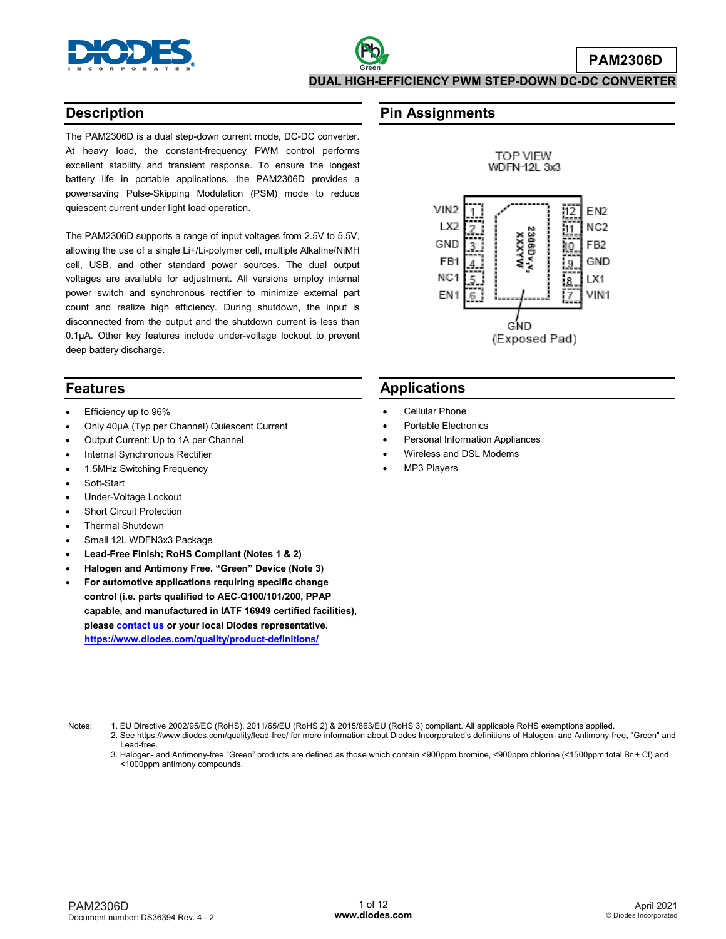

### **Description**

The PAM2306D is a dual step-down current mode, DC-DC converter. At heavy load, the constant-frequency PWM control performs excellent stability and transient response. To ensure the longest battery life in portable applications, the PAM2306D provides a powersaving Pulse-Skipping Modulation (PSM) mode to reduce quiescent current under light load operation.

The PAM2306D supports a range of input voltages from 2.5V to 5.5V, allowing the use of a single Li+/Li-polymer cell, multiple Alkaline/NiMH cell, USB, and other standard power sources. The dual output voltages are available for adjustment. All versions employ internal power switch and synchronous rectifier to minimize external part count and realize high efficiency. During shutdown, the input is disconnected from the output and the shutdown current is less than 0.1µA. Other key features include under-voltage lockout to prevent deep battery discharge.

### **Features**

- Efficiency up to 96%
- Only 40μA (Typ per Channel) Quiescent Current
- Output Current: Up to 1A per Channel
- Internal Synchronous Rectifier
- 1.5MHz Switching Frequency
- Soft-Start
- Under-Voltage Lockout
- **Short Circuit Protection**
- Thermal Shutdown
- Small 12L WDFN3x3 Package
- **Lead-Free Finish; RoHS Compliant (Notes 1 & 2)**
- **Halogen and Antimony Free. "Green" Device (Note 3)**
- **For automotive applications requiring specific change control (i.e. parts qualified to AEC-Q100/101/200, PPAP capable, and manufactured in IATF 16949 certified facilities), pleas[e contact us](https://www.diodes.com/about/contact-us/) or your local Diodes representative. <https://www.diodes.com/quality/product-definitions/>**

### **Pin Assignments**



### **Applications**

- Cellular Phone
- Portable Electronics
- Personal Information Appliances
- Wireless and DSL Modems
- MP3 Players

- Notes: 1. EU Directive 2002/95/EC (RoHS), 2011/65/EU (RoHS 2) & 2015/863/EU (RoHS 3) compliant. All applicable RoHS exemptions applied.
	- 2. See https://www.diodes.com/quality/lead-free/ for more information about Diodes Incorporated's definitions of Halogen- and Antimony-free, "Green" and Lead-free.
	- 3. Halogen- and Antimony-free "Green" products are defined as those which contain <900ppm bromine, <900ppm chlorine (<1500ppm total Br + Cl) and <1000ppm antimony compounds.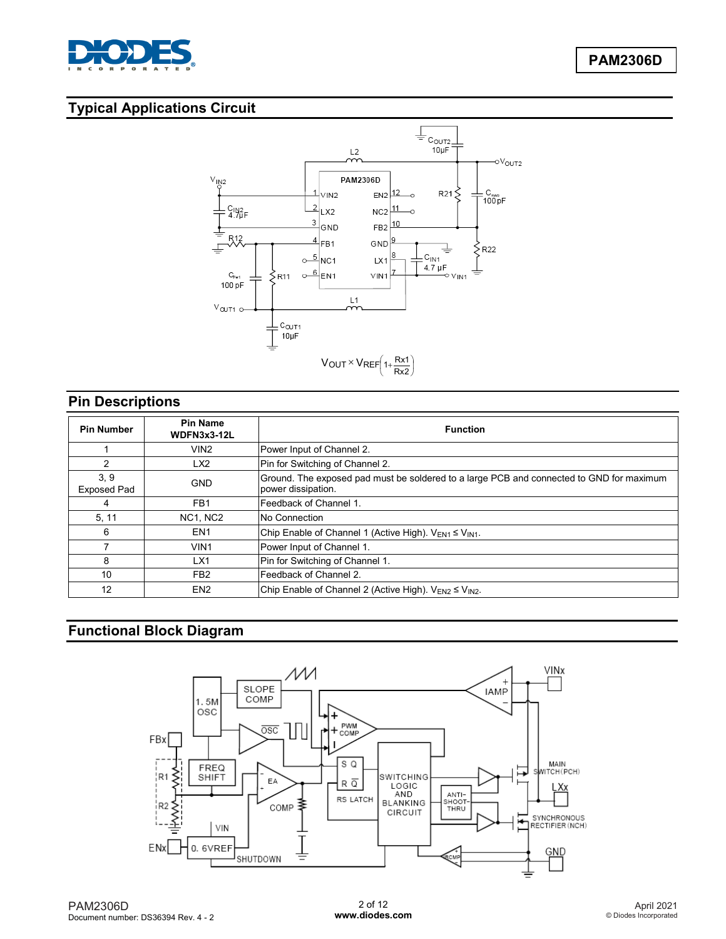

# **Typical Applications Circuit**



# **Pin Descriptions**

| <b>Pin Number</b>          | <b>Pin Name</b><br>WDFN3x3-12L | <b>Function</b>                                                                                                |  |
|----------------------------|--------------------------------|----------------------------------------------------------------------------------------------------------------|--|
|                            | VIN <sub>2</sub>               | Power Input of Channel 2.                                                                                      |  |
| 2                          | LX2                            | Pin for Switching of Channel 2.                                                                                |  |
| 3, 9<br><b>Exposed Pad</b> | <b>GND</b>                     | Ground. The exposed pad must be soldered to a large PCB and connected to GND for maximum<br>power dissipation. |  |
| 4                          | FB <sub>1</sub>                | Feedback of Channel 1.                                                                                         |  |
| 5, 11                      | <b>NC1, NC2</b>                | No Connection                                                                                                  |  |
| 6                          | EN <sub>1</sub>                | Chip Enable of Channel 1 (Active High). $V_{EN1} \leq V_{IN1}$ .                                               |  |
|                            | VIN <sub>1</sub>               | Power Input of Channel 1.                                                                                      |  |
| 8                          | LX1                            | Pin for Switching of Channel 1.                                                                                |  |
| 10                         | FB <sub>2</sub>                | Feedback of Channel 2.                                                                                         |  |
| 12                         | EN <sub>2</sub>                | Chip Enable of Channel 2 (Active High). VEN2 ≤ VIN2.                                                           |  |

# **Functional Block Diagram**

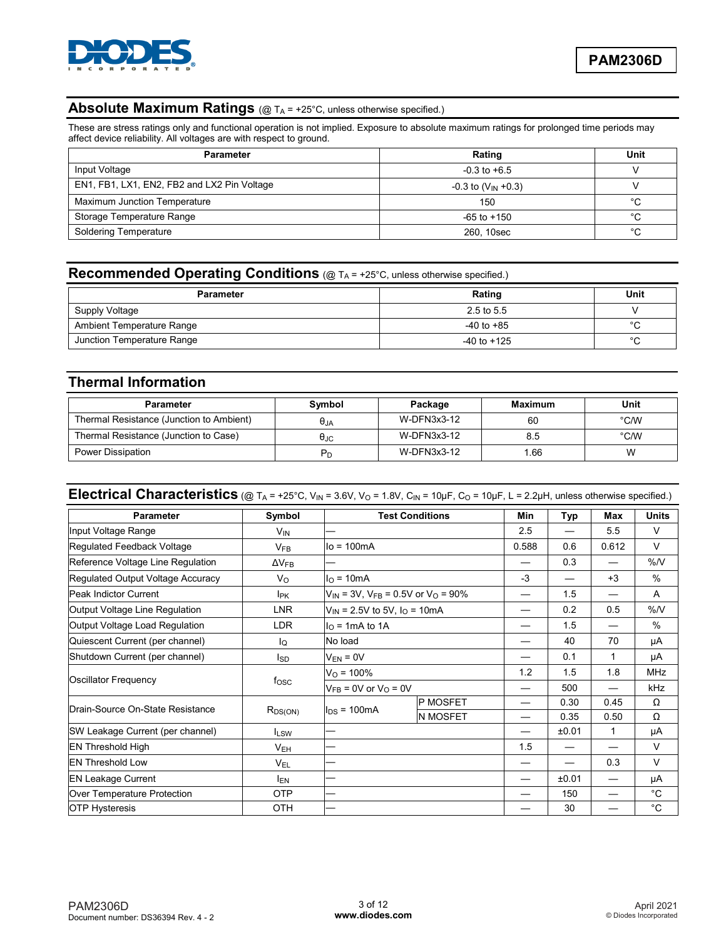

# Absolute Maximum Ratings (@ TA = +25°C, unless otherwise specified.)

These are stress ratings only and functional operation is not implied. Exposure to absolute maximum ratings for prolonged time periods may affect device reliability. All voltages are with respect to ground.

| <b>Parameter</b>                            | Rating                     | Unit |
|---------------------------------------------|----------------------------|------|
| Input Voltage                               | $-0.3$ to $+6.5$           |      |
| EN1, FB1, LX1, EN2, FB2 and LX2 Pin Voltage | $-0.3$ to $(V_{IN} + 0.3)$ |      |
| Maximum Junction Temperature                | 150                        | °C   |
| Storage Temperature Range                   | $-65$ to $+150$            | °C   |
| <b>Soldering Temperature</b>                | 260, 10sec                 | °C   |

### **Recommended Operating Conditions** (@ TA = +25°C, unless otherwise specified.)

| <b>Parameter</b>           | Rating          | Unit        |
|----------------------------|-----------------|-------------|
| Supply Voltage             | 2.5 to 5.5      |             |
| Ambient Temperature Range  | $-40$ to $+85$  | $\sim$      |
| Junction Temperature Range | $-40$ to $+125$ | $\sim$<br>◡ |

### **Thermal Information**

| <b>Parameter</b>                         | Symbol               | Package     | <b>Maximum</b> | Unit |
|------------------------------------------|----------------------|-------------|----------------|------|
| Thermal Resistance (Junction to Ambient) | $\theta$ JA          | W-DFN3x3-12 | 60             | °C/W |
| Thermal Resistance (Junction to Case)    | $\theta_{\text{JC}}$ | W-DFN3x3-12 | 8.5            | °C/W |
| Power Dissipation                        |                      | W-DFN3x3-12 | .66            | w    |

# **Electrical Characteristics** (@  $T_A$  = +25°C, V<sub>IN</sub> = 3.6V, V<sub>O</sub> = 1.8V, C<sub>IN</sub> = 10µF, C<sub>O</sub> = 10µF, L = 2.2µH, unless otherwise specified.)

| <b>Parameter</b>                  | Symbol                |                                                               | <b>Test Conditions</b>        | Min   | Typ   | Max   | <b>Units</b>  |
|-----------------------------------|-----------------------|---------------------------------------------------------------|-------------------------------|-------|-------|-------|---------------|
| Input Voltage Range               | <b>V<sub>IN</sub></b> |                                                               |                               | 2.5   | —     | 5.5   | $\vee$        |
| Regulated Feedback Voltage        | $V_{FB}$              | $Io = 100mA$                                                  |                               | 0.588 | 0.6   | 0.612 | V             |
| Reference Voltage Line Regulation | $\Delta V_{FB}$       |                                                               |                               |       | 0.3   |       | %N            |
| Regulated Output Voltage Accuracy | $V_{\rm O}$           | $IO$ = 10mA                                                   |                               | $-3$  | —     | $+3$  | $\frac{0}{0}$ |
| <b>Peak Indictor Current</b>      | <b>I<sub>PK</sub></b> | $V_{IN}$ = 3V, V <sub>FB</sub> = 0.5V or V <sub>O</sub> = 90% |                               |       | 1.5   |       | A             |
| Output Voltage Line Regulation    | LNR                   | $V_{IN}$ = 2.5V to 5V, $I_{O}$ = 10mA                         |                               |       | 0.2   | 0.5   | %N            |
| Output Voltage Load Regulation    | <b>LDR</b>            | $IO$ = 1mA to 1A                                              |                               |       | 1.5   |       | $\frac{0}{0}$ |
| Quiescent Current (per channel)   | Ιo                    | No load                                                       |                               |       | 40    | 70    | μA            |
| Shutdown Current (per channel)    | Isp                   | $V_{EN} = 0V$                                                 |                               |       | 0.1   | 1     | μA            |
|                                   |                       | $V_{\Omega}$ = 100%                                           |                               | 1.2   | 1.5   | 1.8   | <b>MHz</b>    |
| Oscillator Frequency              | fosc                  |                                                               | $V_{FB}$ = 0V or $V_{O}$ = 0V |       | 500   | —     | kHz           |
| Drain-Source On-State Resistance  |                       |                                                               | P MOSFET                      |       | 0.30  | 0.45  | $\Omega$      |
|                                   | $R_{DS(ON)}$          | $I_{DS}$ = 100mA                                              | <b>N MOSFET</b>               |       | 0.35  | 0.50  | Ω             |
| SW Leakage Current (per channel)  | $I_{LSW}$             |                                                               |                               |       | ±0.01 | 1     | μA            |
| <b>EN Threshold High</b>          | $V_{EH}$              |                                                               |                               | 1.5   | —     |       | $\vee$        |
| <b>EN Threshold Low</b>           | V <sub>EL</sub>       | –                                                             |                               |       |       | 0.3   | V             |
| <b>EN Leakage Current</b>         | <b>IEN</b>            |                                                               |                               |       | ±0.01 |       | μA            |
| Over Temperature Protection       | <b>OTP</b>            |                                                               |                               |       | 150   |       | $^{\circ}C$   |
| <b>OTP Hysteresis</b>             | OTH                   |                                                               |                               |       | 30    |       | $^{\circ}C$   |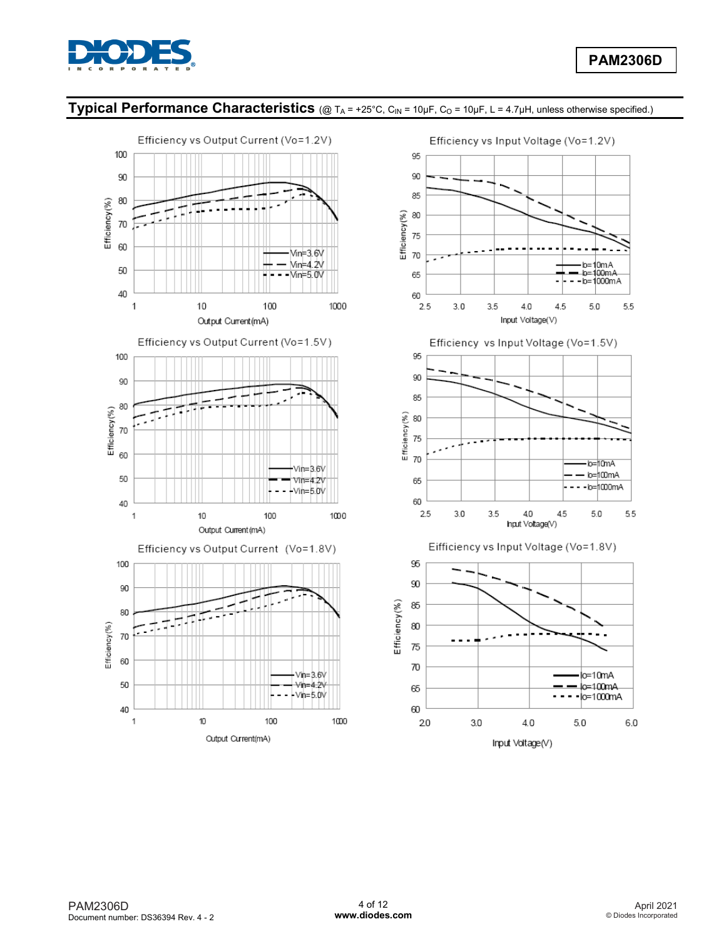

b=10mA<br>b=100mA

 $-b = 1000mA$ 

 $5.0$ 

 $b = 10mA$ 

b=100mA

·lo=|1000mA

55

 $5.0$ 

o=10mA

lo=100mA

 $6.0$ 

 $5.0$ 

5.5

# **Typical Performance Characteristics** (@ TA = +25°C, CIN = 10µF, Co = 10µF, L = 4.7µH, unless otherwise specified.)

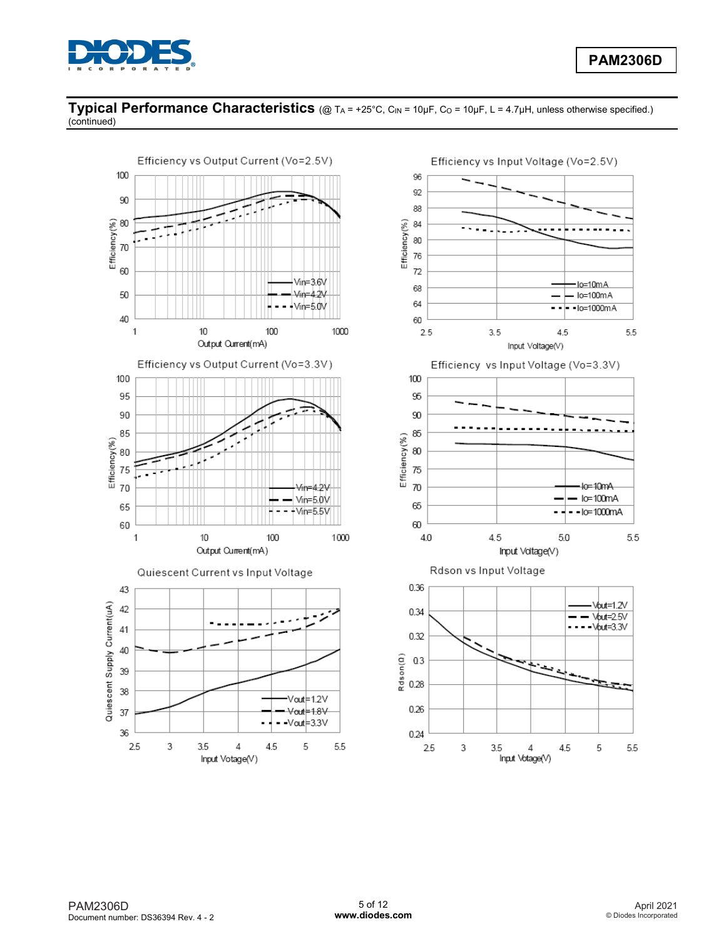

### **Typical Performance Characteristics** (@ T<sub>A</sub> = +25°C, C<sub>IN</sub> = 10µF, C<sub>O</sub> = 10µF, L = 4.7µH, unless otherwise specified.) (continued)



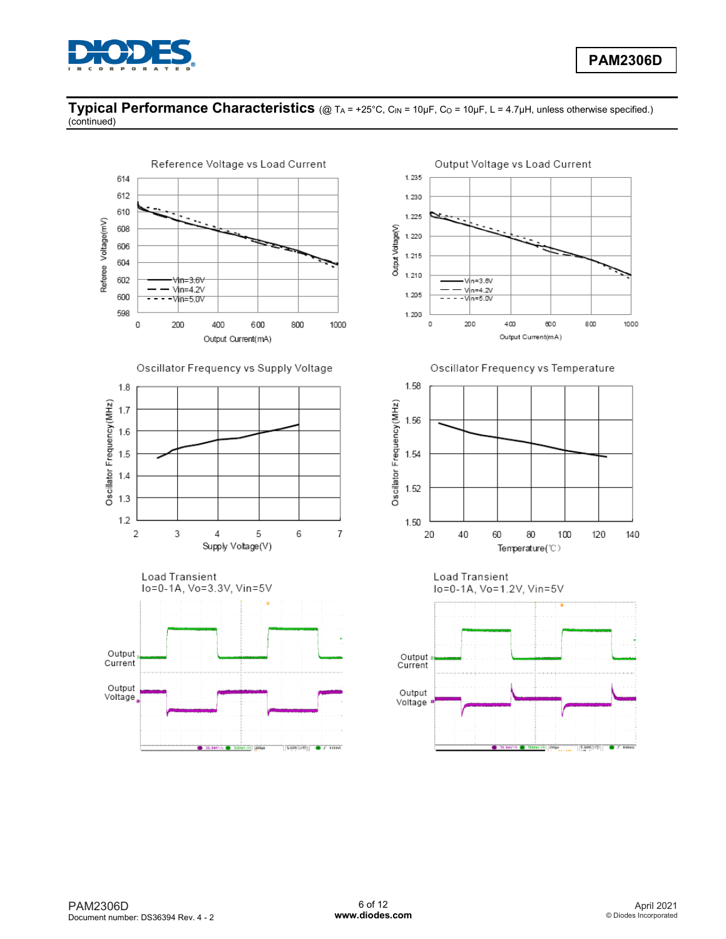

### **Typical Performance Characteristics** (@ T<sub>A</sub> = +25°C, C<sub>IN</sub> = 10µF, C<sub>O</sub> = 10µF, L = 4.7µH, unless otherwise specified.) (continued)



400 600 800 1000 Output Current(mA)

Oscillator Frequency vs Temperature



lo=0-1A, Vo=1.2V, Vin=5V

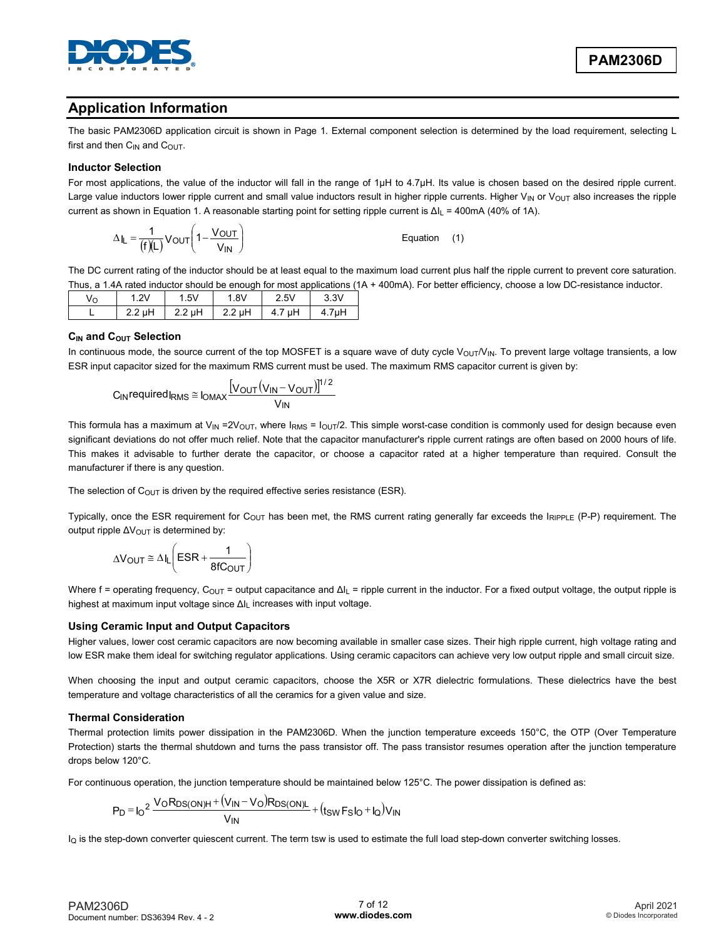

## **Application Information**

The basic PAM2306D application circuit is shown in Page 1. External component selection is determined by the load requirement, selecting L first and then  $C_{IN}$  and  $C_{OUT}$ .

#### **Inductor Selection**

For most applications, the value of the inductor will fall in the range of 1μH to 4.7μH. Its value is chosen based on the desired ripple current. Large value inductors lower ripple current and small value inductors result in higher ripple currents. Higher V<sub>IN</sub> or V<sub>OUT</sub> also increases the ripple current as shown in Equation 1. A reasonable starting point for setting ripple current is Δl<sub>L</sub> = 400mA (40% of 1A).

$$
\Delta I_{L} = \frac{1}{(f)(L)} V_{OUT} \left( 1 - \frac{V_{OUT}}{V_{IN}} \right)
$$
Equation (1)

The DC current rating of the inductor should be at least equal to the maximum load current plus half the ripple current to prevent core saturation. Thus, a 1.4A rated inductor should be enough for most applications (1A + 400mA). For better efficiency, choose a low DC-resistance inductor.

| vо |                 | . 5V   | . 8V             | 2.5V      | 3.3V  |
|----|-----------------|--------|------------------|-----------|-------|
|    | 2nH<br><u>.</u> | 2.2 µH | $2.2 \text{ uH}$ | μH<br>T.I | 4.7µH |

#### **CIN and COUT Selection**

In continuous mode, the source current of the top MOSFET is a square wave of duty cycle V<sub>OUT</sub>/V<sub>IN</sub>. To prevent large voltage transients, a low ESR input capacitor sized for the maximum RMS current must be used. The maximum RMS capacitor current is given by:

$$
C_{IN} \text{required} I_{RMS} \cong I_{OMAX} \frac{[V_{OUT}(V_{IN} - V_{OUT})]^{1/2}}{V_{IN}}
$$

This formula has a maximum at V<sub>IN</sub> = 2V<sub>OUT</sub>, where  $I_{RMS} = I_{\text{OUT}}/2$ . This simple worst-case condition is commonly used for design because even significant deviations do not offer much relief. Note that the capacitor manufacturer's ripple current ratings are often based on 2000 hours of life. This makes it advisable to further derate the capacitor, or choose a capacitor rated at a higher temperature than required. Consult the manufacturer if there is any question.

The selection of  $C_{\text{OUT}}$  is driven by the required effective series resistance (ESR).

Typically, once the ESR requirement for C<sub>OUT</sub> has been met, the RMS current rating generally far exceeds the IRIPPLE (P-P) requirement. The output ripple  $\Delta V_{\text{OUT}}$  is determined by:

$$
\Delta V_{OUT} \cong \Delta I_L \left( ESR + \frac{1}{8fC_{OUT}} \right)
$$

Where f = operating frequency,  $C_{\text{OUT}}$  = output capacitance and  $\Delta l_L$  = ripple current in the inductor. For a fixed output voltage, the output ripple is highest at maximum input voltage since ΔIL increases with input voltage.

### **Using Ceramic Input and Output Capacitors**

Higher values, lower cost ceramic capacitors are now becoming available in smaller case sizes. Their high ripple current, high voltage rating and low ESR make them ideal for switching regulator applications. Using ceramic capacitors can achieve very low output ripple and small circuit size.

When choosing the input and output ceramic capacitors, choose the X5R or X7R dielectric formulations. These dielectrics have the best temperature and voltage characteristics of all the ceramics for a given value and size.

### **Thermal Consideration**

Thermal protection limits power dissipation in the PAM2306D. When the junction temperature exceeds 150°C, the OTP (Over Temperature Protection) starts the thermal shutdown and turns the pass transistor off. The pass transistor resumes operation after the junction temperature drops below 120°C.

For continuous operation, the junction temperature should be maintained below 125°C. The power dissipation is defined as:

$$
P_D = I_0^2 \frac{V_0 R_{DS(ON)H} + (V_{IN} - V_0) R_{DS(ON)L}}{V_{IN}} + (t_{SW} F_S I_0 + I_Q) V_{IN}
$$

 $I<sub>O</sub>$  is the step-down converter quiescent current. The term tsw is used to estimate the full load step-down converter switching losses.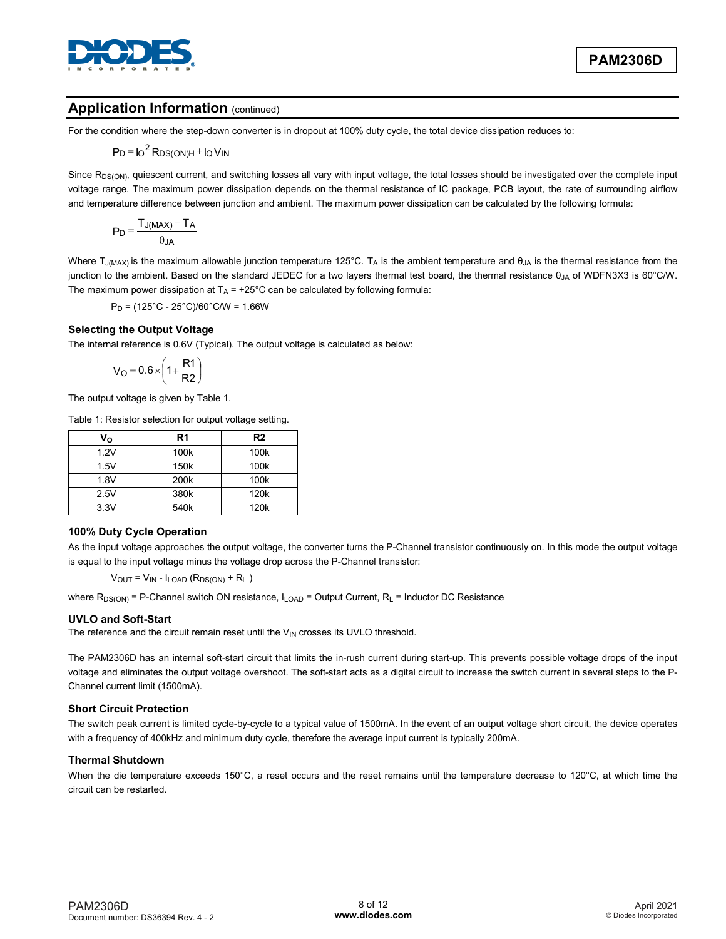

### **Application Information (continued)**

For the condition where the step-down converter is in dropout at 100% duty cycle, the total device dissipation reduces to:

$$
P_D = I_O^2 R_{DS(ON)H} + I_Q V_{IN}
$$

Since R<sub>DS(ON)</sub>, quiescent current, and switching losses all vary with input voltage, the total losses should be investigated over the complete input voltage range. The maximum power dissipation depends on the thermal resistance of IC package, PCB layout, the rate of surrounding airflow and temperature difference between junction and ambient. The maximum power dissipation can be calculated by the following formula:

$$
P_D = \frac{T_{J(MAX)} - T_A}{\theta_{JA}}
$$

Where T<sub>J(MAX)</sub> is the maximum allowable junction temperature 125°C. T<sub>A</sub> is the ambient temperature and  $\theta_{JA}$  is the thermal resistance from the junction to the ambient. Based on the standard JEDEC for a two layers thermal test board, the thermal resistance θ<sub>JA</sub> of WDFN3X3 is 60°C/W. The maximum power dissipation at  $T_A = +25^{\circ}C$  can be calculated by following formula:

 $P_D = (125^{\circ}C - 25^{\circ}C)/60^{\circ}C/W = 1.66W$ 

#### **Selecting the Output Voltage**

The internal reference is 0.6V (Typical). The output voltage is calculated as below:

$$
V_O = 0.6 \times \left(1 + \frac{R1}{R2}\right)
$$

The output voltage is given by Table 1.

Table 1: Resistor selection for output voltage setting.

| Vo   | R <sub>1</sub>   | R <sub>2</sub>   |
|------|------------------|------------------|
| 1.2V | 100k             | 100k             |
| 1.5V | 150 <sub>k</sub> | 100k             |
| 1.8V | 200k             | 100k             |
| 2.5V | 380k             | 120 <sub>k</sub> |
| 3.3V | 540k             | 120 <sub>k</sub> |

#### **100% Duty Cycle Operation**

As the input voltage approaches the output voltage, the converter turns the P-Channel transistor continuously on. In this mode the output voltage is equal to the input voltage minus the voltage drop across the P-Channel transistor:

 $V_{OUT} = V_{IN} - I_{LOAD} (R_{DS(ON)} + R_L)$ 

where  $R_{DS(ON)}$  = P-Channel switch ON resistance,  $I_{LOAD}$  = Output Current,  $R_L$  = Inductor DC Resistance

#### **UVLO and Soft-Start**

The reference and the circuit remain reset until the  $V_{IN}$  crosses its UVLO threshold.

The PAM2306D has an internal soft-start circuit that limits the in-rush current during start-up. This prevents possible voltage drops of the input voltage and eliminates the output voltage overshoot. The soft-start acts as a digital circuit to increase the switch current in several steps to the P-Channel current limit (1500mA).

#### **Short Circuit Protection**

The switch peak current is limited cycle-by-cycle to a typical value of 1500mA. In the event of an output voltage short circuit, the device operates with a frequency of 400kHz and minimum duty cycle, therefore the average input current is typically 200mA.

#### **Thermal Shutdown**

When the die temperature exceeds 150°C, a reset occurs and the reset remains until the temperature decrease to 120°C, at which time the circuit can be restarted.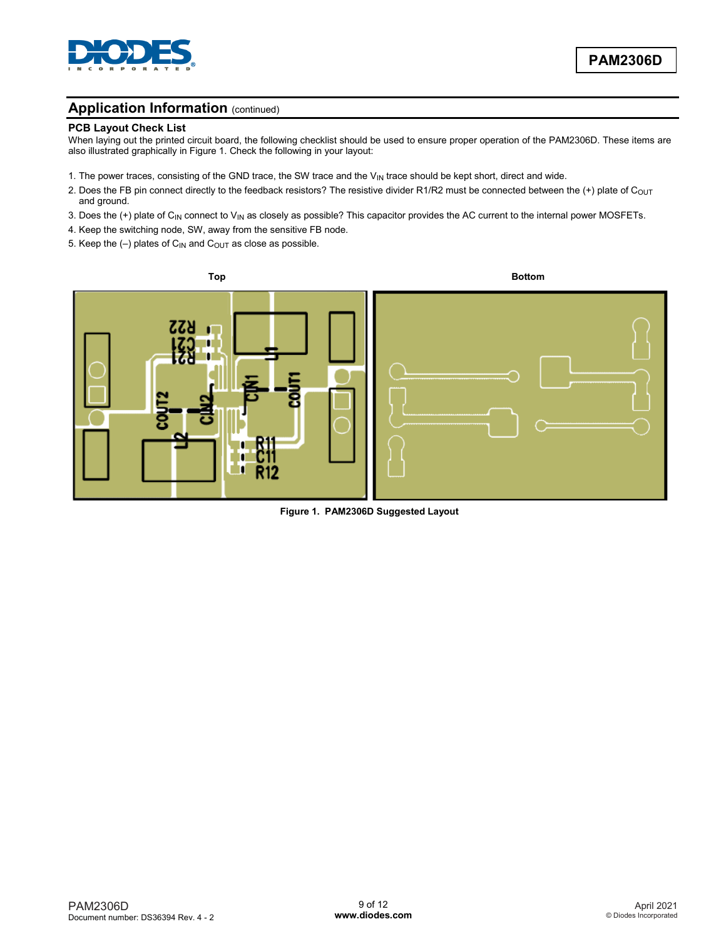

### **Application Information (continued)**

#### **PCB Layout Check List**

When laying out the printed circuit board, the following checklist should be used to ensure proper operation of the PAM2306D. These items are also illustrated graphically in Figure 1. Check the following in your layout:

- 1. The power traces, consisting of the GND trace, the SW trace and the V<sub>IN</sub> trace should be kept short, direct and wide.
- 2. Does the FB pin connect directly to the feedback resistors? The resistive divider R1/R2 must be connected between the (+) plate of C<sub>OUT</sub> and ground.
- 3. Does the (+) plate of  $C_{IN}$  connect to  $V_{IN}$  as closely as possible? This capacitor provides the AC current to the internal power MOSFETs.
- 4. Keep the switching node, SW, away from the sensitive FB node.
- 5. Keep the  $(-)$  plates of C<sub>IN</sub> and C<sub>OUT</sub> as close as possible.



**Figure 1. PAM2306D Suggested Layout**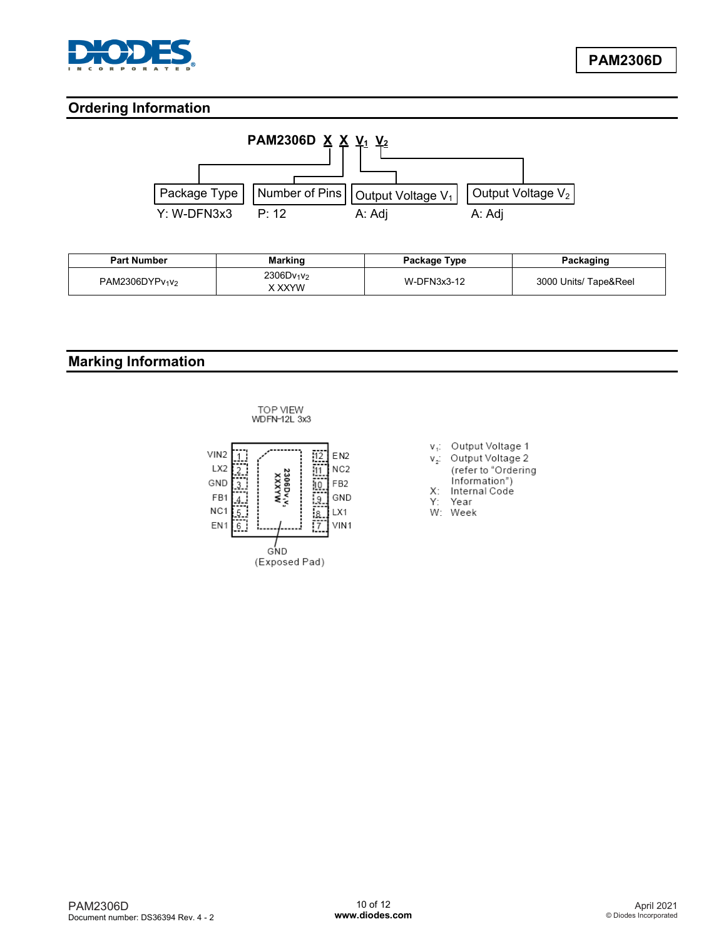

## **Ordering Information**



| <b>Part Number</b> | <b>Marking</b>                               | Package Type | Packaging             |
|--------------------|----------------------------------------------|--------------|-----------------------|
| PAM2306DYPv1V2     | 2306Dv <sub>1</sub> v <sub>2</sub><br>X XXYW | W-DFN3x3-12  | 3000 Units/ Tape&Reel |

# **Marking Information**





- v<sub>1</sub>: Output Voltage 1
- v<sub>2</sub>: Output Voltage 2
- (refer to "Ordering Information")
- $X$ : Internal Code
- Y: Year
- W: Week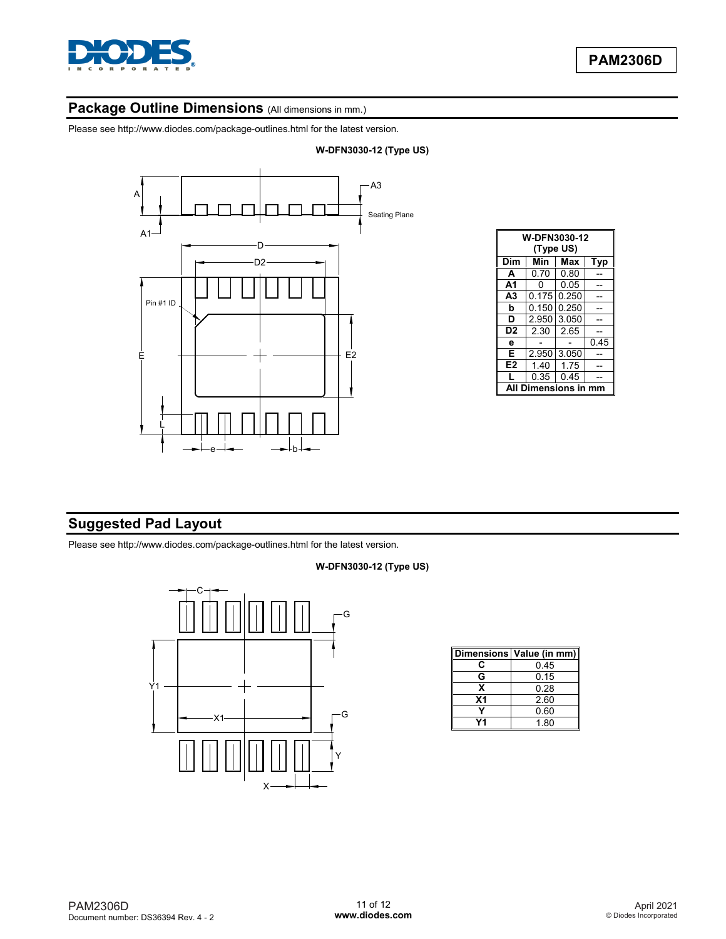

# Package Outline Dimensions (All dimensions in mm.)

Please see http://www.diodes.com/package-outlines.html for the latest version.



| <b>W-DFN3030-12</b><br>(Type US) |       |       |      |  |  |
|----------------------------------|-------|-------|------|--|--|
| Dim                              | Min   | Max   | Typ  |  |  |
| A                                | 0.70  | 0.80  |      |  |  |
| A1                               | n     | 0.05  |      |  |  |
| A <sub>3</sub>                   | 0.175 | 0.250 |      |  |  |
| b                                | 0.150 | 0.250 |      |  |  |
| D                                | 2.950 | 3.050 |      |  |  |
| D <sub>2</sub>                   | 2.30  | 2.65  |      |  |  |
| e                                |       |       | 0.45 |  |  |
| Е                                | 2.950 | 3.050 |      |  |  |
| E <sub>2</sub>                   | 1.40  | 1.75  |      |  |  |
|                                  | 0.35  | 0.45  |      |  |  |
| Dimensions in mm<br>Δ            |       |       |      |  |  |

## **Suggested Pad Layout**

Please see http://www.diodes.com/package-outlines.html for the latest version.

#### **W-DFN3030-12 (Type US)**



|    | Dimensions Value (in mm) |
|----|--------------------------|
| c  | በ 45                     |
| G  | 0.15                     |
| x  | 0.28                     |
| Χ1 | 2.60                     |
|    | 0.60                     |
|    | 1.80                     |

### **W-DFN3030-12 (Type US)**